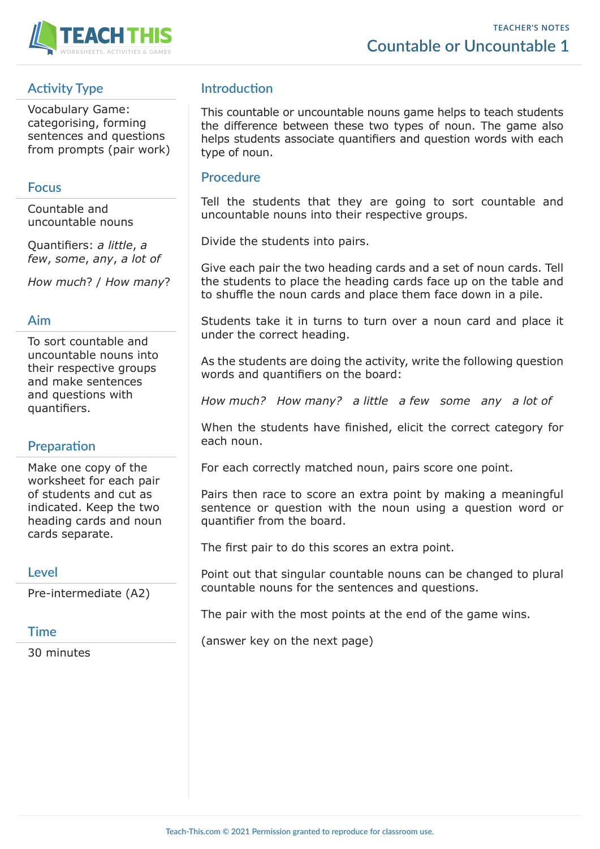



# **Activity Type**

Vocabulary Game: categorising, forming sentences and questions from prompts (pair work)

#### **Focus**

Countable and uncountable nouns

Quantifiers: *a little*, *a few*, *some*, *any*, *a lot of*

*How much*? / *How many*?

#### **Aim**

To sort countable and uncountable nouns into their respective groups and make sentences and questions with quantifiers.

# **Preparation**

Make one copy of the worksheet for each pair of students and cut as indicated. Keep the two heading cards and noun cards separate.

#### **Level**

Pre-intermediate (A2)

#### **Time**

30 minutes

### **Introduction**

This countable or uncountable nouns game helps to teach students the difference between these two types of noun. The game also helps students associate quantifiers and question words with each type of noun.

#### **Procedure**

Tell the students that they are going to sort countable and uncountable nouns into their respective groups.

Divide the students into pairs.

Give each pair the two heading cards and a set of noun cards. Tell the students to place the heading cards face up on the table and to shuffle the noun cards and place them face down in a pile.

Students take it in turns to turn over a noun card and place it under the correct heading.

As the students are doing the activity, write the following question words and quantifiers on the board:

*How much? How many? a little a few some any a lot of*

When the students have finished, elicit the correct category for each noun.

For each correctly matched noun, pairs score one point.

Pairs then race to score an extra point by making a meaningful sentence or question with the noun using a question word or quantifier from the board.

The first pair to do this scores an extra point.

Point out that singular countable nouns can be changed to plural countable nouns for the sentences and questions.

The pair with the most points at the end of the game wins.

(answer key on the next page)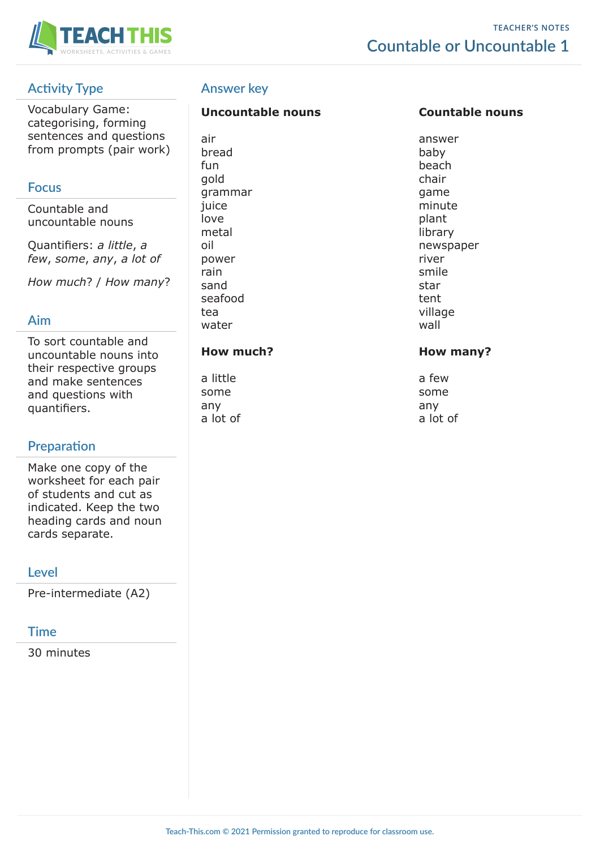

# **Activity Type**

Vocabulary Game: categorising, forming sentences and questions from prompts (pair work)

### **Focus**

Countable and uncountable nouns

Quantifiers: *a little*, *a few*, *some*, *any*, *a lot of*

*How much*? / *How many*?

### **Aim**

To sort countable and uncountable nouns into their respective groups and make sentences and questions with quantifiers.

# **Preparation**

Make one copy of the worksheet for each pair of students and cut as indicated. Keep the two heading cards and noun cards separate.

#### **Level**

Pre-intermediate (A2)

# **Time**

30 minutes

# **Answer key**

#### **Uncountable nouns Countable nouns**

air answer bread baby fun beach gold chair and chair and chair grammar game game iuice minute love **plant** metal library power river rain smile sand star is a starting of the starting starting starting starting starting starting starting starting starting seafood tent tea village water wall wall

#### How much? **How many?**

a little a structure a few some some any any a lot of a lot of

oil and a set of the set of the mewspaper